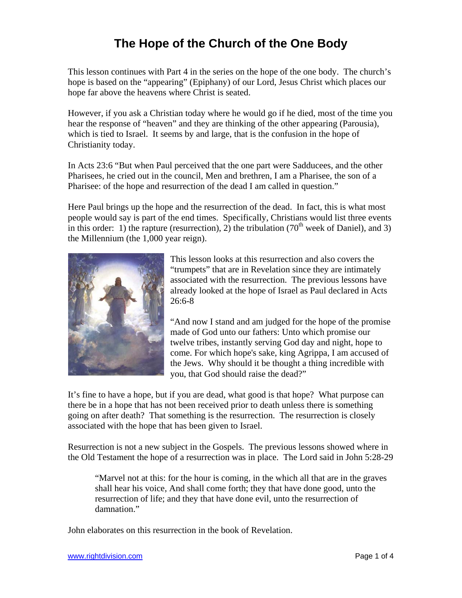This lesson continues with Part 4 in the series on the hope of the one body. The church's hope is based on the "appearing" (Epiphany) of our Lord, Jesus Christ which places our hope far above the heavens where Christ is seated.

However, if you ask a Christian today where he would go if he died, most of the time you hear the response of "heaven" and they are thinking of the other appearing (Parousia), which is tied to Israel. It seems by and large, that is the confusion in the hope of Christianity today.

In Acts 23:6 "But when Paul perceived that the one part were Sadducees, and the other Pharisees, he cried out in the council, Men and brethren, I am a Pharisee, the son of a Pharisee: of the hope and resurrection of the dead I am called in question."

Here Paul brings up the hope and the resurrection of the dead. In fact, this is what most people would say is part of the end times. Specifically, Christians would list three events in this order: 1) the rapture (resurrection), 2) the tribulation  $(70<sup>th</sup>$  week of Daniel), and 3) the Millennium (the 1,000 year reign).



This lesson looks at this resurrection and also covers the "trumpets" that are in Revelation since they are intimately associated with the resurrection. The previous lessons have already looked at the hope of Israel as Paul declared in Acts 26:6-8

"And now I stand and am judged for the hope of the promise made of God unto our fathers: Unto which promise our twelve tribes, instantly serving God day and night, hope to come. For which hope's sake, king Agrippa, I am accused of the Jews. Why should it be thought a thing incredible with you, that God should raise the dead?"

It's fine to have a hope, but if you are dead, what good is that hope? What purpose can there be in a hope that has not been received prior to death unless there is something going on after death? That something is the resurrection. The resurrection is closely associated with the hope that has been given to Israel.

Resurrection is not a new subject in the Gospels. The previous lessons showed where in the Old Testament the hope of a resurrection was in place. The Lord said in John 5:28-29

"Marvel not at this: for the hour is coming, in the which all that are in the graves shall hear his voice, And shall come forth; they that have done good, unto the resurrection of life; and they that have done evil, unto the resurrection of damnation."

John elaborates on this resurrection in the book of Revelation.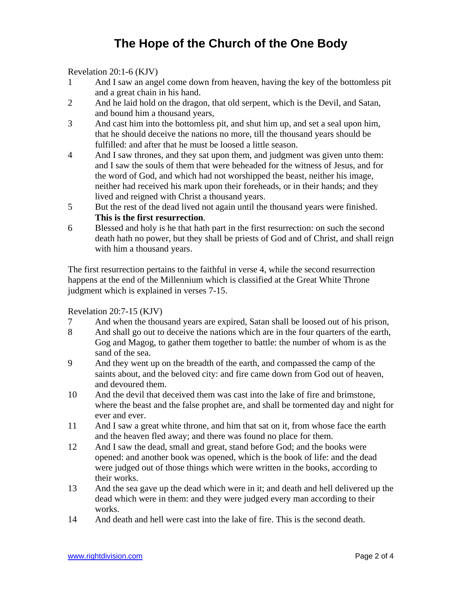Revelation 20:1-6 (KJV)

- 1 And I saw an angel come down from heaven, having the key of the bottomless pit and a great chain in his hand.
- 2 And he laid hold on the dragon, that old serpent, which is the Devil, and Satan, and bound him a thousand years,
- 3 And cast him into the bottomless pit, and shut him up, and set a seal upon him, that he should deceive the nations no more, till the thousand years should be fulfilled: and after that he must be loosed a little season.
- 4 And I saw thrones, and they sat upon them, and judgment was given unto them: and I saw the souls of them that were beheaded for the witness of Jesus, and for the word of God, and which had not worshipped the beast, neither his image, neither had received his mark upon their foreheads, or in their hands; and they lived and reigned with Christ a thousand years.
- 5 But the rest of the dead lived not again until the thousand years were finished. **This is the first resurrection**.
- 6 Blessed and holy is he that hath part in the first resurrection: on such the second death hath no power, but they shall be priests of God and of Christ, and shall reign with him a thousand years.

The first resurrection pertains to the faithful in verse 4, while the second resurrection happens at the end of the Millennium which is classified at the Great White Throne judgment which is explained in verses 7-15.

Revelation 20:7-15 (KJV)

- 7 And when the thousand years are expired, Satan shall be loosed out of his prison,
- 8 And shall go out to deceive the nations which are in the four quarters of the earth, Gog and Magog, to gather them together to battle: the number of whom is as the sand of the sea.
- 9 And they went up on the breadth of the earth, and compassed the camp of the saints about, and the beloved city: and fire came down from God out of heaven, and devoured them.
- 10 And the devil that deceived them was cast into the lake of fire and brimstone, where the beast and the false prophet are, and shall be tormented day and night for ever and ever.
- 11 And I saw a great white throne, and him that sat on it, from whose face the earth and the heaven fled away; and there was found no place for them.
- 12 And I saw the dead, small and great, stand before God; and the books were opened: and another book was opened, which is the book of life: and the dead were judged out of those things which were written in the books, according to their works.
- 13 And the sea gave up the dead which were in it; and death and hell delivered up the dead which were in them: and they were judged every man according to their works.
- 14 And death and hell were cast into the lake of fire. This is the second death.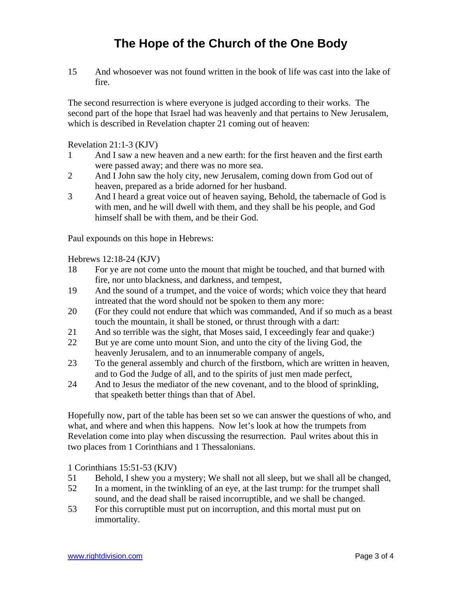15 And whosoever was not found written in the book of life was cast into the lake of fire.

The second resurrection is where everyone is judged according to their works. The second part of the hope that Israel had was heavenly and that pertains to New Jerusalem, which is described in Revelation chapter 21 coming out of heaven:

Revelation 21:1-3 (KJV)

- 1 And I saw a new heaven and a new earth: for the first heaven and the first earth were passed away; and there was no more sea.
- 2 And I John saw the holy city, new Jerusalem, coming down from God out of heaven, prepared as a bride adorned for her husband.
- 3 And I heard a great voice out of heaven saying, Behold, the tabernacle of God is with men, and he will dwell with them, and they shall be his people, and God himself shall be with them, and be their God.

Paul expounds on this hope in Hebrews:

Hebrews 12:18-24 (KJV)

- 18 For ye are not come unto the mount that might be touched, and that burned with fire, nor unto blackness, and darkness, and tempest,
- 19 And the sound of a trumpet, and the voice of words; which voice they that heard intreated that the word should not be spoken to them any more:
- 20 (For they could not endure that which was commanded, And if so much as a beast touch the mountain, it shall be stoned, or thrust through with a dart:
- 21 And so terrible was the sight, that Moses said, I exceedingly fear and quake:)
- 22 But ye are come unto mount Sion, and unto the city of the living God, the heavenly Jerusalem, and to an innumerable company of angels,
- 23 To the general assembly and church of the firstborn, which are written in heaven, and to God the Judge of all, and to the spirits of just men made perfect,
- 24 And to Jesus the mediator of the new covenant, and to the blood of sprinkling, that speaketh better things than that of Abel.

Hopefully now, part of the table has been set so we can answer the questions of who, and what, and where and when this happens. Now let's look at how the trumpets from Revelation come into play when discussing the resurrection. Paul writes about this in two places from 1 Corinthians and 1 Thessalonians.

1 Corinthians 15:51-53 (KJV)

- 51 Behold, I shew you a mystery; We shall not all sleep, but we shall all be changed,
- 52 In a moment, in the twinkling of an eye, at the last trump: for the trumpet shall sound, and the dead shall be raised incorruptible, and we shall be changed.
- 53 For this corruptible must put on incorruption, and this mortal must put on immortality.